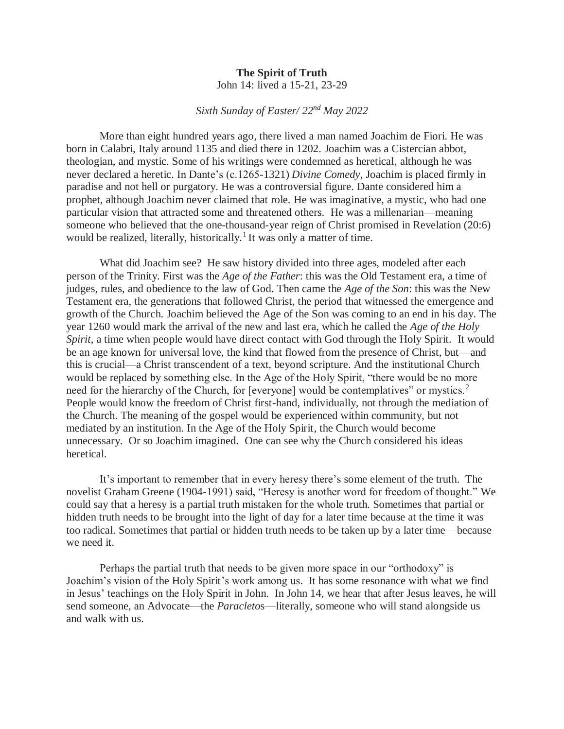## **The Spirit of Truth** John 14: lived a 15-21, 23-29

## *Sixth Sunday of Easter/ 22nd May 2022*

More than eight hundred years ago, there lived a man named Joachim de Fiori. He was born in Calabri, Italy around 1135 and died there in 1202. Joachim was a Cistercian abbot, theologian, and mystic. Some of his writings were condemned as heretical, although he was never declared a heretic. In Dante's (c.1265-1321) *Divine Comedy*, Joachim is placed firmly in paradise and not hell or purgatory. He was a controversial figure. Dante considered him a prophet, although Joachim never claimed that role. He was imaginative, a mystic, who had one particular vision that attracted some and threatened others. He was a millenarian—meaning someone who believed that the one-thousand-year reign of Christ promised in Revelation (20:6) would be realized, literally, historically.<sup>1</sup> It was only a matter of time.

 What did Joachim see? He saw history divided into three ages, modeled after each person of the Trinity. First was the *Age of the Father*: this was the Old Testament era, a time of judges, rules, and obedience to the law of God. Then came the *Age of the Son*: this was the New Testament era, the generations that followed Christ, the period that witnessed the emergence and growth of the Church. Joachim believed the Age of the Son was coming to an end in his day. The year 1260 would mark the arrival of the new and last era, which he called the *Age of the Holy Spirit*, a time when people would have direct contact with God through the Holy Spirit. It would be an age known for universal love, the kind that flowed from the presence of Christ, but—and this is crucial—a Christ transcendent of a text, beyond scripture. And the institutional Church would be replaced by something else. In the Age of the Holy Spirit, "there would be no more need for the hierarchy of the Church, for [everyone] would be contemplatives" or mystics.<sup>2</sup> People would know the freedom of Christ first-hand, individually, not through the mediation of the Church. The meaning of the gospel would be experienced within community, but not mediated by an institution. In the Age of the Holy Spirit, the Church would become unnecessary. Or so Joachim imagined. One can see why the Church considered his ideas heretical.

 It's important to remember that in every heresy there's some element of the truth. The novelist Graham Greene (1904-1991) said, "Heresy is another word for freedom of thought." We could say that a heresy is a partial truth mistaken for the whole truth. Sometimes that partial or hidden truth needs to be brought into the light of day for a later time because at the time it was too radical. Sometimes that partial or hidden truth needs to be taken up by a later time—because we need it.

 Perhaps the partial truth that needs to be given more space in our "orthodoxy" is Joachim's vision of the Holy Spirit's work among us. It has some resonance with what we find in Jesus' teachings on the Holy Spirit in John. In John 14, we hear that after Jesus leaves, he will send someone, an Advocate—the *Paracleto*s—literally, someone who will stand alongside us and walk with us.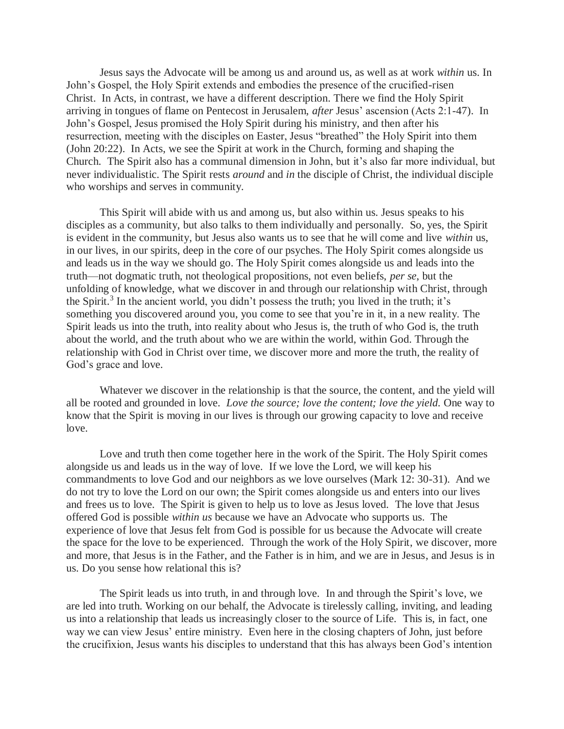Jesus says the Advocate will be among us and around us, as well as at work *within* us. In John's Gospel, the Holy Spirit extends and embodies the presence of the crucified-risen Christ. In Acts, in contrast, we have a different description. There we find the Holy Spirit arriving in tongues of flame on Pentecost in Jerusalem, *after* Jesus' ascension (Acts 2:1-47). In John's Gospel, Jesus promised the Holy Spirit during his ministry, and then after his resurrection, meeting with the disciples on Easter, Jesus "breathed" the Holy Spirit into them (John 20:22). In Acts, we see the Spirit at work in the Church, forming and shaping the Church. The Spirit also has a communal dimension in John, but it's also far more individual, but never individualistic. The Spirit rests *around* and *in* the disciple of Christ, the individual disciple who worships and serves in community.

 This Spirit will abide with us and among us, but also within us. Jesus speaks to his disciples as a community, but also talks to them individually and personally. So, yes, the Spirit is evident in the community, but Jesus also wants us to see that he will come and live *within* us, in our lives, in our spirits, deep in the core of our psyches. The Holy Spirit comes alongside us and leads us in the way we should go. The Holy Spirit comes alongside us and leads into the truth—not dogmatic truth, not theological propositions, not even beliefs, *per se*, but the unfolding of knowledge, what we discover in and through our relationship with Christ, through the Spirit.<sup>3</sup> In the ancient world, you didn't possess the truth; you lived in the truth; it's something you discovered around you, you come to see that you're in it, in a new reality. The Spirit leads us into the truth, into reality about who Jesus is, the truth of who God is, the truth about the world, and the truth about who we are within the world, within God. Through the relationship with God in Christ over time, we discover more and more the truth, the reality of God's grace and love.

 Whatever we discover in the relationship is that the source, the content, and the yield will all be rooted and grounded in love. *Love the source; love the content; love the yield.* One way to know that the Spirit is moving in our lives is through our growing capacity to love and receive love.

 Love and truth then come together here in the work of the Spirit. The Holy Spirit comes alongside us and leads us in the way of love. If we love the Lord, we will keep his commandments to love God and our neighbors as we love ourselves (Mark 12: 30-31). And we do not try to love the Lord on our own; the Spirit comes alongside us and enters into our lives and frees us to love. The Spirit is given to help us to love as Jesus loved. The love that Jesus offered God is possible *within us* because we have an Advocate who supports us. The experience of love that Jesus felt from God is possible for us because the Advocate will create the space for the love to be experienced. Through the work of the Holy Spirit, we discover, more and more, that Jesus is in the Father, and the Father is in him, and we are in Jesus, and Jesus is in us. Do you sense how relational this is?

 The Spirit leads us into truth, in and through love. In and through the Spirit's love, we are led into truth. Working on our behalf, the Advocate is tirelessly calling, inviting, and leading us into a relationship that leads us increasingly closer to the source of Life. This is, in fact, one way we can view Jesus' entire ministry. Even here in the closing chapters of John, just before the crucifixion, Jesus wants his disciples to understand that this has always been God's intention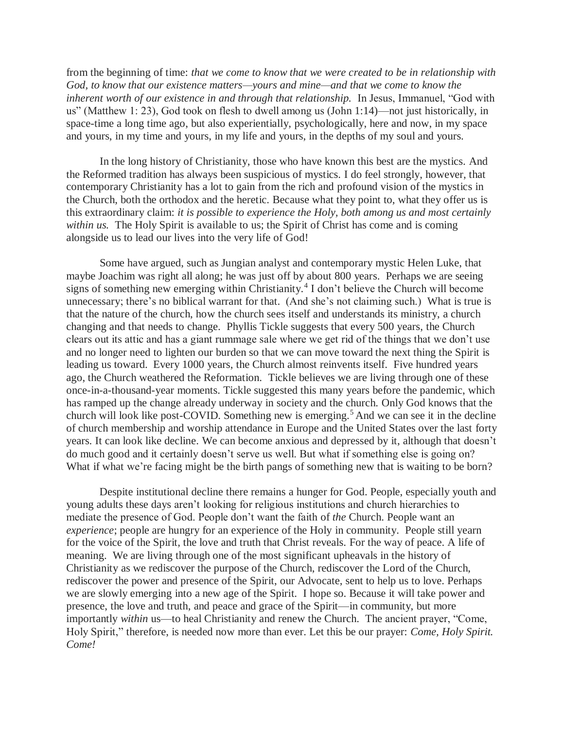from the beginning of time: *that we come to know that we were created to be in relationship with God, to know that our existence matters—yours and mine—and that we come to know the inherent worth of our existence in and through that relationship.* In Jesus, Immanuel, "God with us" (Matthew 1: 23), God took on flesh to dwell among us (John 1:14)—not just historically, in space-time a long time ago, but also experientially, psychologically, here and now, in my space and yours, in my time and yours, in my life and yours, in the depths of my soul and yours.

 In the long history of Christianity, those who have known this best are the mystics. And the Reformed tradition has always been suspicious of mystics. I do feel strongly, however, that contemporary Christianity has a lot to gain from the rich and profound vision of the mystics in the Church, both the orthodox and the heretic. Because what they point to, what they offer us is this extraordinary claim: *it is possible to experience the Holy, both among us and most certainly within us.* The Holy Spirit is available to us; the Spirit of Christ has come and is coming alongside us to lead our lives into the very life of God!

 Some have argued, such as Jungian analyst and contemporary mystic Helen Luke, that maybe Joachim was right all along; he was just off by about 800 years. Perhaps we are seeing signs of something new emerging within Christianity.<sup>4</sup> I don't believe the Church will become unnecessary; there's no biblical warrant for that. (And she's not claiming such.) What is true is that the nature of the church, how the church sees itself and understands its ministry, a church changing and that needs to change. Phyllis Tickle suggests that every 500 years, the Church clears out its attic and has a giant rummage sale where we get rid of the things that we don't use and no longer need to lighten our burden so that we can move toward the next thing the Spirit is leading us toward. Every 1000 years, the Church almost reinvents itself. Five hundred years ago, the Church weathered the Reformation. Tickle believes we are living through one of these once-in-a-thousand-year moments. Tickle suggested this many years before the pandemic, which has ramped up the change already underway in society and the church. Only God knows that the church will look like post-COVID. Something new is emerging.<sup>5</sup> And we can see it in the decline of church membership and worship attendance in Europe and the United States over the last forty years. It can look like decline. We can become anxious and depressed by it, although that doesn't do much good and it certainly doesn't serve us well. But what if something else is going on? What if what we're facing might be the birth pangs of something new that is waiting to be born?

Despite institutional decline there remains a hunger for God. People, especially youth and young adults these days aren't looking for religious institutions and church hierarchies to mediate the presence of God. People don't want the faith of *the* Church. People want an *experience*; people are hungry for an experience of the Holy in community. People still yearn for the voice of the Spirit, the love and truth that Christ reveals. For the way of peace. A life of meaning. We are living through one of the most significant upheavals in the history of Christianity as we rediscover the purpose of the Church, rediscover the Lord of the Church, rediscover the power and presence of the Spirit, our Advocate, sent to help us to love. Perhaps we are slowly emerging into a new age of the Spirit. I hope so. Because it will take power and presence, the love and truth, and peace and grace of the Spirit—in community, but more importantly *within* us—to heal Christianity and renew the Church. The ancient prayer, "Come, Holy Spirit," therefore, is needed now more than ever. Let this be our prayer: *Come, Holy Spirit. Come!*